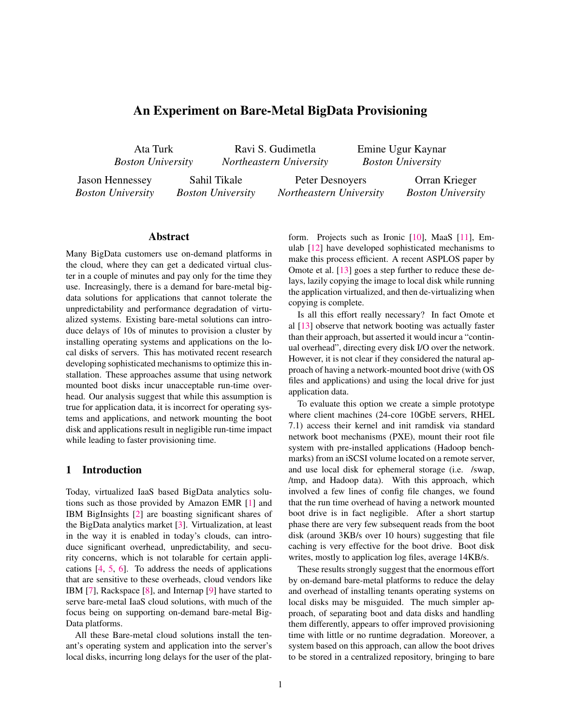# An Experiment on Bare-Metal BigData Provisioning

Ata Turk *Boston University*

Ravi S. Gudimetla *Northeastern University* Emine Ugur Kaynar *Boston University*

Jason Hennessey *Boston University*

Sahil Tikale *Boston University*

Peter Desnoyers *Northeastern University*

Orran Krieger *Boston University*

## Abstract

Many BigData customers use on-demand platforms in the cloud, where they can get a dedicated virtual cluster in a couple of minutes and pay only for the time they use. Increasingly, there is a demand for bare-metal bigdata solutions for applications that cannot tolerate the unpredictability and performance degradation of virtualized systems. Existing bare-metal solutions can introduce delays of 10s of minutes to provision a cluster by installing operating systems and applications on the local disks of servers. This has motivated recent research developing sophisticated mechanisms to optimize this installation. These approaches assume that using network mounted boot disks incur unacceptable run-time overhead. Our analysis suggest that while this assumption is true for application data, it is incorrect for operating systems and applications, and network mounting the boot disk and applications result in negligible run-time impact while leading to faster provisioning time.

## 1 Introduction

Today, virtualized IaaS based BigData analytics solutions such as those provided by Amazon EMR [\[1\]](#page-4-0) and IBM BigInsights [\[2\]](#page-4-1) are boasting significant shares of the BigData analytics market [\[3\]](#page-4-2). Virtualization, at least in the way it is enabled in today's clouds, can introduce significant overhead, unpredictability, and security concerns, which is not tolarable for certain applications [\[4,](#page-4-3) [5,](#page-4-4) [6\]](#page-4-5). To address the needs of applications that are sensitive to these overheads, cloud vendors like IBM [\[7\]](#page-4-6), Rackspace [\[8\]](#page-4-7), and Internap [\[9\]](#page-4-8) have started to serve bare-metal IaaS cloud solutions, with much of the focus being on supporting on-demand bare-metal Big-Data platforms.

All these Bare-metal cloud solutions install the tenant's operating system and application into the server's local disks, incurring long delays for the user of the platform. Projects such as Ironic [\[10\]](#page-4-9), MaaS [\[11\]](#page-4-10), Emulab [\[12\]](#page-4-11) have developed sophisticated mechanisms to make this process efficient. A recent ASPLOS paper by Omote et al. [\[13\]](#page-4-12) goes a step further to reduce these delays, lazily copying the image to local disk while running the application virtualized, and then de-virtualizing when copying is complete.

Is all this effort really necessary? In fact Omote et al [\[13\]](#page-4-12) observe that network booting was actually faster than their approach, but asserted it would incur a "continual overhead", directing every disk I/O over the network. However, it is not clear if they considered the natural approach of having a network-mounted boot drive (with OS files and applications) and using the local drive for just application data.

To evaluate this option we create a simple prototype where client machines (24-core 10GbE servers, RHEL 7.1) access their kernel and init ramdisk via standard network boot mechanisms (PXE), mount their root file system with pre-installed applications (Hadoop benchmarks) from an iSCSI volume located on a remote server, and use local disk for ephemeral storage (i.e. /swap, /tmp, and Hadoop data). With this approach, which involved a few lines of config file changes, we found that the run time overhead of having a network mounted boot drive is in fact negligible. After a short startup phase there are very few subsequent reads from the boot disk (around 3KB/s over 10 hours) suggesting that file caching is very effective for the boot drive. Boot disk writes, mostly to application log files, average 14KB/s.

These results strongly suggest that the enormous effort by on-demand bare-metal platforms to reduce the delay and overhead of installing tenants operating systems on local disks may be misguided. The much simpler approach, of separating boot and data disks and handling them differently, appears to offer improved provisioning time with little or no runtime degradation. Moreover, a system based on this approach, can allow the boot drives to be stored in a centralized repository, bringing to bare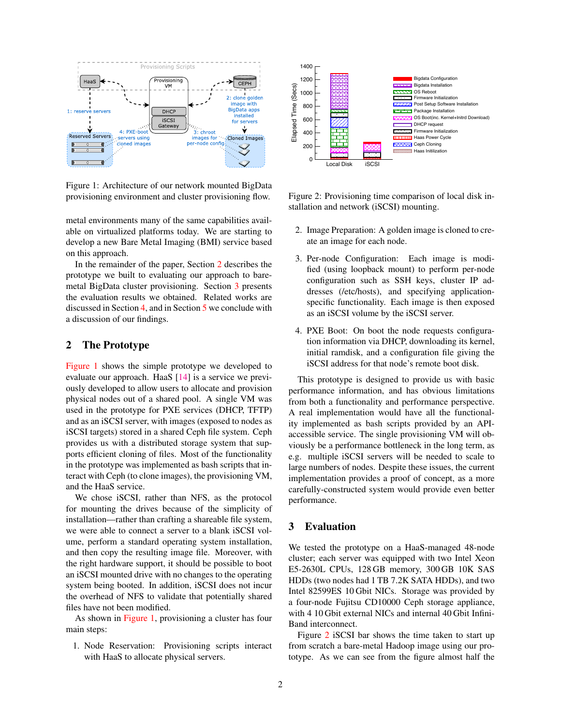

<span id="page-1-2"></span>Figure 1: Architecture of our network mounted BigData provisioning environment and cluster provisioning flow.

metal environments many of the same capabilities available on virtualized platforms today. We are starting to develop a new Bare Metal Imaging (BMI) service based on this approach.

In the remainder of the paper, Section [2](#page-1-0) describes the prototype we built to evaluating our approach to baremetal BigData cluster provisioning. Section [3](#page-1-1) presents the evaluation results we obtained. Related works are discussed in Section [4,](#page-3-0) and in Section [5](#page-3-1) we conclude with a discussion of our findings.

#### <span id="page-1-0"></span>2 The Prototype

[Figure 1](#page-1-2) shows the simple prototype we developed to evaluate our approach. HaaS [\[14\]](#page-4-13) is a service we previously developed to allow users to allocate and provision physical nodes out of a shared pool. A single VM was used in the prototype for PXE services (DHCP, TFTP) and as an iSCSI server, with images (exposed to nodes as iSCSI targets) stored in a shared Ceph file system. Ceph provides us with a distributed storage system that supports efficient cloning of files. Most of the functionality in the prototype was implemented as bash scripts that interact with Ceph (to clone images), the provisioning VM, and the HaaS service.

We chose iSCSI, rather than NFS, as the protocol for mounting the drives because of the simplicity of installation—rather than crafting a shareable file system, we were able to connect a server to a blank iSCSI volume, perform a standard operating system installation, and then copy the resulting image file. Moreover, with the right hardware support, it should be possible to boot an iSCSI mounted drive with no changes to the operating system being booted. In addition, iSCSI does not incur the overhead of NFS to validate that potentially shared files have not been modified.

As shown in [Figure 1,](#page-1-2) provisioning a cluster has four main steps:

1. Node Reservation: Provisioning scripts interact with HaaS to allocate physical servers.



<span id="page-1-3"></span>Figure 2: Provisioning time comparison of local disk installation and network (iSCSI) mounting.

- 2. Image Preparation: A golden image is cloned to create an image for each node.
- 3. Per-node Configuration: Each image is modified (using loopback mount) to perform per-node configuration such as SSH keys, cluster IP addresses (/etc/hosts), and specifying applicationspecific functionality. Each image is then exposed as an iSCSI volume by the iSCSI server.
- 4. PXE Boot: On boot the node requests configuration information via DHCP, downloading its kernel, initial ramdisk, and a configuration file giving the iSCSI address for that node's remote boot disk.

This prototype is designed to provide us with basic performance information, and has obvious limitations from both a functionality and performance perspective. A real implementation would have all the functionality implemented as bash scripts provided by an APIaccessible service. The single provisioning VM will obviously be a performance bottleneck in the long term, as e.g. multiple iSCSI servers will be needed to scale to large numbers of nodes. Despite these issues, the current implementation provides a proof of concept, as a more carefully-constructed system would provide even better performance.

#### <span id="page-1-1"></span>3 Evaluation

We tested the prototype on a HaaS-managed 48-node cluster; each server was equipped with two Intel Xeon E5-2630L CPUs, 128 GB memory, 300 GB 10K SAS HDDs (two nodes had 1 TB 7.2K SATA HDDs), and two Intel 82599ES 10 Gbit NICs. Storage was provided by a four-node Fujitsu CD10000 Ceph storage appliance, with 4 10 Gbit external NICs and internal 40 Gbit Infini-Band interconnect.

Figure [2](#page-1-3) iSCSI bar shows the time taken to start up from scratch a bare-metal Hadoop image using our prototype. As we can see from the figure almost half the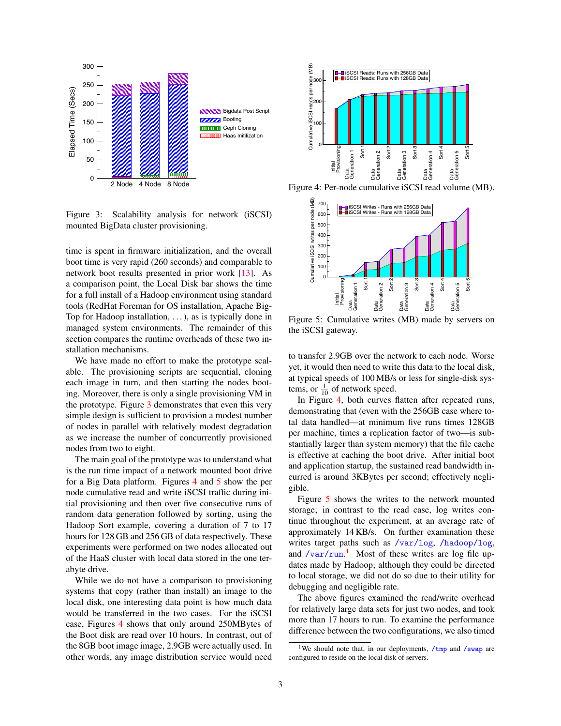

<span id="page-2-0"></span>Figure 3: Scalability analysis for network (iSCSI) mounted BigData cluster provisioning.

time is spent in firmware initialization, and the overall boot time is very rapid (260 seconds) and comparable to network boot results presented in prior work [\[13\]](#page-4-12). As a comparison point, the Local Disk bar shows the time for a full install of a Hadoop environment using standard tools (RedHat Foreman for OS installation, Apache Big-Top for Hadoop installation, . . . ), as is typically done in managed system environments. The remainder of this section compares the runtime overheads of these two installation mechanisms.

We have made no effort to make the prototype scalable. The provisioning scripts are sequential, cloning each image in turn, and then starting the nodes booting. Moreover, there is only a single provisioning VM in the prototype. Figure [3](#page-2-0) demonstrates that even this very simple design is sufficient to provision a modest number of nodes in parallel with relatively modest degradation as we increase the number of concurrently provisioned nodes from two to eight.

The main goal of the prototype was to understand what is the run time impact of a network mounted boot drive for a Big Data platform. Figures [4](#page-2-1) and [5](#page-2-2) show the per node cumulative read and write iSCSI traffic during initial provisioning and then over five consecutive runs of random data generation followed by sorting, using the Hadoop Sort example, covering a duration of 7 to 17 hours for 128 GB and 256 GB of data respectively. These experiments were performed on two nodes allocated out of the HaaS cluster with local data stored in the one terabyte drive. **Example 1998**<br> **Example 10 CONSULS IN the CHO CONSULS IN the CHO CONSULS IN the CHO CONSULS IN the CHO CONSULS IN the CHO CONSULS IN the CHO CONSULS IN the CHO CONSULS IN the CHO CONSULS IN the CHO CONSULS IN the CONSU** 

While we do not have a comparison to provisioning systems that copy (rather than install) an image to the local disk, one interesting data point is how much data would be transferred in the two cases. For the iSCSI case, Figures [4](#page-2-1) shows that only around 250MBytes of the Boot disk are read over 10 hours. In contrast, out of the 8GB boot image image, 2.9GB were actually used. In



Figure 4: Per-node cumulative iSCSI read volume (MB).

<span id="page-2-1"></span>

<span id="page-2-2"></span>Figure 5: Cumulative writes (MB) made by servers on the iSCSI gateway.

to transfer 2.9GB over the network to each node. Worse yet, it would then need to write this data to the local disk, at typical speeds of 100 MB/s or less for single-disk systems, or  $\frac{1}{10}$  of network speed.

In Figure [4,](#page-2-1) both curves flatten after repeated runs, demonstrating that (even with the 256GB case where total data handled—at minimum five runs times 128GB per machine, times a replication factor of two—is substantially larger than system memory) that the file cache is effective at caching the boot drive. After initial boot and application startup, the sustained read bandwidth incurred is around 3KBytes per second; effectively negligible.

Figure [5](#page-2-2) shows the writes to the network mounted storage; in contrast to the read case, log writes continue throughout the experiment, at an average rate of approximately 14 KB/s. On further examination these writes target paths such as </var/log>, </hadoop/log>, and  $/\text{var}/\text{run}$ .<sup>[1](#page-2-3)</sup> Most of these writes are log file updates made by Hadoop; although they could be directed to local storage, we did not do so due to their utility for debugging and negligible rate.

The above figures examined the read/write overhead for relatively large data sets for just two nodes, and took more than 17 hours to run. To examine the performance difference between the two configurations, we also timed

<span id="page-2-3"></span><sup>&</sup>lt;sup>1</sup>We should note that, in our deployments,  $/\text{tmp}$  and  $/\text{swap}$  are configured to reside on the local disk of servers.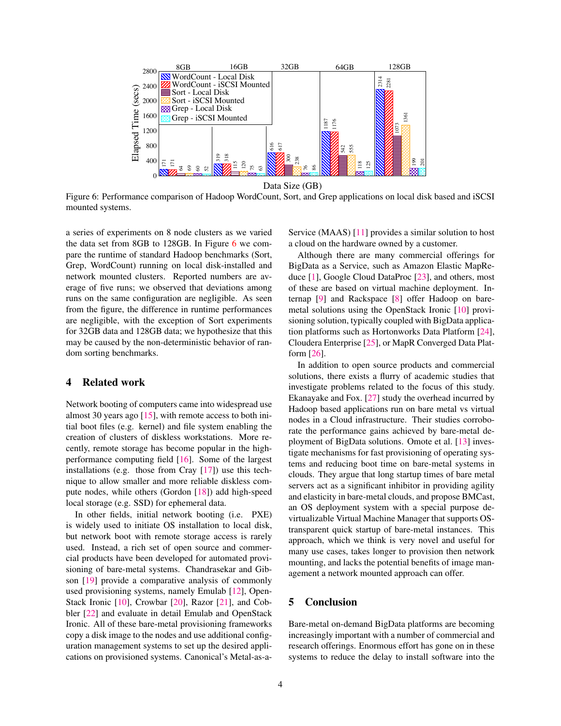

Figure 6: Performance comparison of Hadoop WordCount, Sort, and Grep applications on local disk based and iSCSI mounted systems.

a series of experiments on 8 node clusters as we varied the data set from 8GB to 128GB. In Figure [6](#page-3-2) we compare the runtime of standard Hadoop benchmarks (Sort, Grep, WordCount) running on local disk-installed and network mounted clusters. Reported numbers are average of five runs; we observed that deviations among runs on the same configuration are negligible. As seen from the figure, the difference in runtime performances are negligible, with the exception of Sort experiments for 32GB data and 128GB data; we hypothesize that this may be caused by the non-deterministic behavior of random sorting benchmarks.

## <span id="page-3-0"></span>4 Related work

Network booting of computers came into widespread use almost 30 years ago  $[15]$ , with remote access to both initial boot files (e.g. kernel) and file system enabling the creation of clusters of diskless workstations. More recently, remote storage has become popular in the highperformance computing field [\[16\]](#page-4-15). Some of the largest installations (e.g. those from Cray [\[17\]](#page-4-16)) use this technique to allow smaller and more reliable diskless compute nodes, while others (Gordon [\[18\]](#page-5-0)) add high-speed local storage (e.g. SSD) for ephemeral data.

In other fields, initial network booting (i.e. PXE) is widely used to initiate OS installation to local disk, but network boot with remote storage access is rarely used. Instead, a rich set of open source and commercial products have been developed for automated provisioning of bare-metal systems. Chandrasekar and Gibson [\[19\]](#page-5-1) provide a comparative analysis of commonly used provisioning systems, namely Emulab [\[12\]](#page-4-11), Open-Stack Ironic [\[10\]](#page-4-9), Crowbar [\[20\]](#page-5-2), Razor [\[21\]](#page-5-3), and Cobbler [\[22\]](#page-5-4) and evaluate in detail Emulab and OpenStack Ironic. All of these bare-metal provisioning frameworks copy a disk image to the nodes and use additional configuration management systems to set up the desired applications on provisioned systems. Canonical's Metal-as-a<span id="page-3-2"></span>Service (MAAS) [\[11\]](#page-4-10) provides a similar solution to host a cloud on the hardware owned by a customer.

Although there are many commercial offerings for BigData as a Service, such as Amazon Elastic MapReduce [\[1\]](#page-4-0), Google Cloud DataProc [\[23\]](#page-5-5), and others, most of these are based on virtual machine deployment. Internap [\[9\]](#page-4-8) and Rackspace [\[8\]](#page-4-7) offer Hadoop on baremetal solutions using the OpenStack Ironic [\[10\]](#page-4-9) provisioning solution, typically coupled with BigData application platforms such as Hortonworks Data Platform [\[24\]](#page-5-6), Cloudera Enterprise [\[25\]](#page-5-7), or MapR Converged Data Platform [\[26\]](#page-5-8).

In addition to open source products and commercial solutions, there exists a flurry of academic studies that investigate problems related to the focus of this study. Ekanayake and Fox. [\[27\]](#page-5-9) study the overhead incurred by Hadoop based applications run on bare metal vs virtual nodes in a Cloud infrastructure. Their studies corroborate the performance gains achieved by bare-metal deployment of BigData solutions. Omote et al. [\[13\]](#page-4-12) investigate mechanisms for fast provisioning of operating systems and reducing boot time on bare-metal systems in clouds. They argue that long startup times of bare metal servers act as a significant inhibitor in providing agility and elasticity in bare-metal clouds, and propose BMCast, an OS deployment system with a special purpose devirtualizable Virtual Machine Manager that supports OStransparent quick startup of bare-metal instances. This approach, which we think is very novel and useful for many use cases, takes longer to provision then network mounting, and lacks the potential benefits of image management a network mounted approach can offer.

### <span id="page-3-1"></span>5 Conclusion

Bare-metal on-demand BigData platforms are becoming increasingly important with a number of commercial and research offerings. Enormous effort has gone on in these systems to reduce the delay to install software into the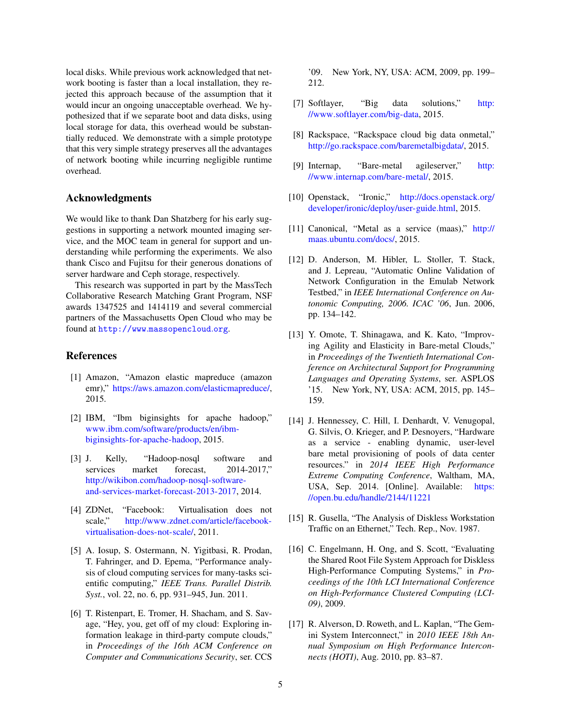local disks. While previous work acknowledged that network booting is faster than a local installation, they rejected this approach because of the assumption that it would incur an ongoing unacceptable overhead. We hypothesized that if we separate boot and data disks, using local storage for data, this overhead would be substantially reduced. We demonstrate with a simple prototype that this very simple strategy preserves all the advantages of network booting while incurring negligible runtime overhead.

#### Acknowledgments

We would like to thank Dan Shatzberg for his early suggestions in supporting a network mounted imaging service, and the MOC team in general for support and understanding while performing the experiments. We also thank Cisco and Fujitsu for their generous donations of server hardware and Ceph storage, respectively.

This research was supported in part by the MassTech Collaborative Research Matching Grant Program, NSF awards 1347525 and 1414119 and several commercial partners of the Massachusetts Open Cloud who may be found at http://www.[massopencloud](http://www.massopencloud.org).org.

### References

- <span id="page-4-0"></span>[1] Amazon, "Amazon elastic mapreduce (amazon emr)," https://aws.amazon.[com/elasticmapreduce/,](https://aws.amazon.com/elasticmapreduce/) 2015.
- <span id="page-4-1"></span>[2] IBM, "Ibm biginsights for apache hadoop," www.ibm.[com/software/products/en/ibm](www.ibm.com/software/products/en/ibm-biginsights-for-apache-hadoop)[biginsights-for-apache-hadoop,](www.ibm.com/software/products/en/ibm-biginsights-for-apache-hadoop) 2015.
- <span id="page-4-2"></span>[3] J. Kelly, "Hadoop-nosql software and services market forecast, 2014-2017," http://wikibon.[com/hadoop-nosql-software](http://wikibon.com/hadoop-nosql-software-and-services-market-forecast-2013-2017)[and-services-market-forecast-2013-2017,](http://wikibon.com/hadoop-nosql-software-and-services-market-forecast-2013-2017) 2014.
- <span id="page-4-3"></span>[4] ZDNet, "Facebook: Virtualisation does not scale," http://www.zdnet.[com/article/facebook](http://www.zdnet.com/article/facebook-virtualisation-does-not-scale/)[virtualisation-does-not-scale/,](http://www.zdnet.com/article/facebook-virtualisation-does-not-scale/) 2011.
- <span id="page-4-4"></span>[5] A. Iosup, S. Ostermann, N. Yigitbasi, R. Prodan, T. Fahringer, and D. Epema, "Performance analysis of cloud computing services for many-tasks scientific computing," *IEEE Trans. Parallel Distrib. Syst.*, vol. 22, no. 6, pp. 931–945, Jun. 2011.
- <span id="page-4-5"></span>[6] T. Ristenpart, E. Tromer, H. Shacham, and S. Savage, "Hey, you, get off of my cloud: Exploring information leakage in third-party compute clouds," in *Proceedings of the 16th ACM Conference on Computer and Communications Security*, ser. CCS

'09. New York, NY, USA: ACM, 2009, pp. 199– 212.

- <span id="page-4-6"></span>[7] Softlayer, "Big data solutions," [http:](http://www.softlayer.com/big-data) //www.softlayer.[com/big-data,](http://www.softlayer.com/big-data) 2015.
- <span id="page-4-7"></span>[8] Rackspace, "Rackspace cloud big data onmetal," http://go.rackspace.[com/baremetalbigdata/,](http://go.rackspace.com/baremetalbigdata/) 2015.
- <span id="page-4-8"></span>[9] Internap, "Bare-metal agileserver," [http:](http://www.internap.com/bare-metal/) //www.internap.[com/bare-metal/,](http://www.internap.com/bare-metal/) 2015.
- <span id="page-4-9"></span>[10] Openstack, "Ironic," [http://docs](http://docs.openstack.org/developer/ironic/deploy/user-guide.html).openstack.org/ [developer/ironic/deploy/user-guide](http://docs.openstack.org/developer/ironic/deploy/user-guide.html).html, 2015.
- <span id="page-4-10"></span>[11] Canonical, "Metal as a service (maas)," [http://](http://maas.ubuntu.com/docs/) maas.ubuntu.[com/docs/,](http://maas.ubuntu.com/docs/) 2015.
- <span id="page-4-11"></span>[12] D. Anderson, M. Hibler, L. Stoller, T. Stack, and J. Lepreau, "Automatic Online Validation of Network Configuration in the Emulab Network Testbed," in *IEEE International Conference on Autonomic Computing, 2006. ICAC '06*, Jun. 2006, pp. 134–142.
- <span id="page-4-12"></span>[13] Y. Omote, T. Shinagawa, and K. Kato, "Improving Agility and Elasticity in Bare-metal Clouds," in *Proceedings of the Twentieth International Conference on Architectural Support for Programming Languages and Operating Systems*, ser. ASPLOS '15. New York, NY, USA: ACM, 2015, pp. 145– 159.
- <span id="page-4-13"></span>[14] J. Hennessey, C. Hill, I. Denhardt, V. Venugopal, G. Silvis, O. Krieger, and P. Desnoyers, "Hardware as a service - enabling dynamic, user-level bare metal provisioning of pools of data center resources." in *2014 IEEE High Performance Extreme Computing Conference*, Waltham, MA, USA, Sep. 2014. [Online]. Available: [https:](https://open.bu.edu/handle/2144/11221) //open.bu.[edu/handle/2144/11221](https://open.bu.edu/handle/2144/11221)
- <span id="page-4-14"></span>[15] R. Gusella, "The Analysis of Diskless Workstation Traffic on an Ethernet," Tech. Rep., Nov. 1987.
- <span id="page-4-15"></span>[16] C. Engelmann, H. Ong, and S. Scott, "Evaluating the Shared Root File System Approach for Diskless High-Performance Computing Systems," in *Proceedings of the 10th LCI International Conference on High-Performance Clustered Computing (LCI-09)*, 2009.
- <span id="page-4-16"></span>[17] R. Alverson, D. Roweth, and L. Kaplan, "The Gemini System Interconnect," in *2010 IEEE 18th Annual Symposium on High Performance Interconnects (HOTI)*, Aug. 2010, pp. 83–87.